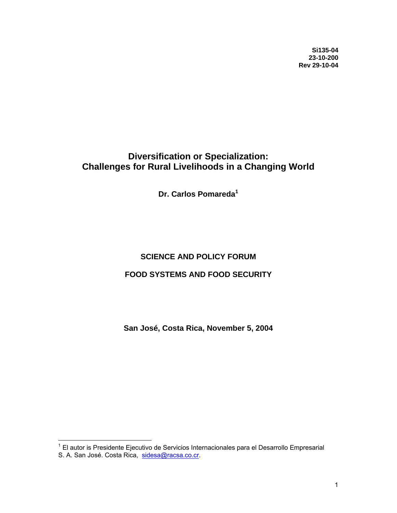**Si135-04 23-10-200 Rev 29-10-04**

# **Diversification or Specialization: Challenges for Rural Livelihoods in a Changing World**

**Dr. Carlos Pomareda[1](#page-0-0)**

## **SCIENCE AND POLICY FORUM**

#### **FOOD SYSTEMS AND FOOD SECURITY**

**San José, Costa Rica, November 5, 2004** 

<span id="page-0-0"></span> 1 El autor is Presidente Ejecutivo de Servicios Internacionales para el Desarrollo Empresarial S. A. San José. Costa Rica, [sidesa@racsa.co.cr.](mailto:sidesa@racsa.co.cr)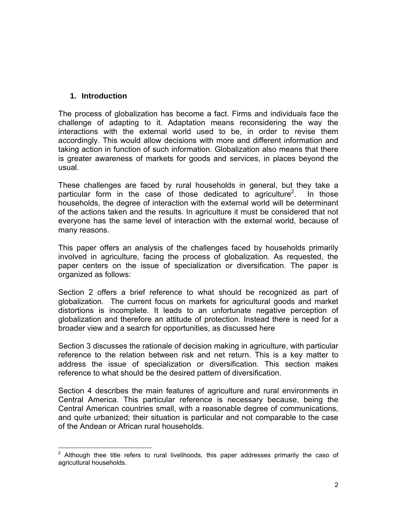#### **1. Introduction**

The process of globalization has become a fact. Firms and individuals face the challenge of adapting to it. Adaptation means reconsidering the way the interactions with the external world used to be, in order to revise them accordingly. This would allow decisions with more and different information and taking action in function of such information. Globalization also means that there is greater awareness of markets for goods and services, in places beyond the usual.

These challenges are faced by rural households in general, but they take a particular form in the case of those dedicated to agriculture<sup>2</sup>. . In those households, the degree of interaction with the external world will be determinant of the actions taken and the results. In agriculture it must be considered that not everyone has the same level of interaction with the external world, because of many reasons.

This paper offers an analysis of the challenges faced by households primarily involved in agriculture, facing the process of globalization. As requested, the paper centers on the issue of specialization or diversification. The paper is organized as follows:

Section 2 offers a brief reference to what should be recognized as part of globalization. The current focus on markets for agricultural goods and market distortions is incomplete. It leads to an unfortunate negative perception of globalization and therefore an attitude of protection. Instead there is need for a broader view and a search for opportunities, as discussed here

Section 3 discusses the rationale of decision making in agriculture, with particular reference to the relation between risk and net return. This is a key matter to address the issue of specialization or diversification. This section makes reference to what should be the desired pattern of diversification.

Section 4 describes the main features of agriculture and rural environments in Central America. This particular reference is necessary because, being the Central American countries small, with a reasonable degree of communications, and quite urbanized; their situation is particular and not comparable to the case of the Andean or African rural households.

<span id="page-1-0"></span> $\overline{a}$ 2 Although thee title refers to rural livelihoods, this paper addresses primarily the caso of agricultural households.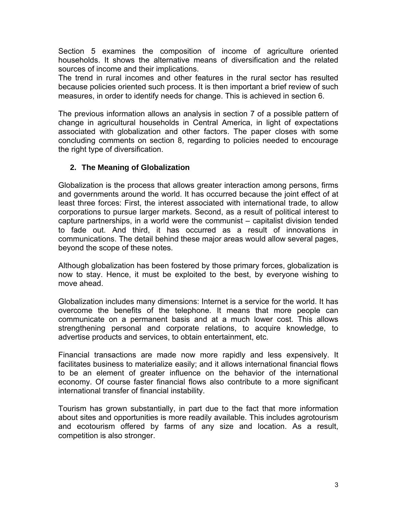Section 5 examines the composition of income of agriculture oriented households. It shows the alternative means of diversification and the related sources of income and their implications.

The trend in rural incomes and other features in the rural sector has resulted because policies oriented such process. It is then important a brief review of such measures, in order to identify needs for change. This is achieved in section 6.

The previous information allows an analysis in section 7 of a possible pattern of change in agricultural households in Central America, in light of expectations associated with globalization and other factors. The paper closes with some concluding comments on section 8, regarding to policies needed to encourage the right type of diversification.

# **2. The Meaning of Globalization**

Globalization is the process that allows greater interaction among persons, firms and governments around the world. It has occurred because the joint effect of at least three forces: First, the interest associated with international trade, to allow corporations to pursue larger markets. Second, as a result of political interest to capture partnerships, in a world were the communist – capitalist division tended to fade out. And third, it has occurred as a result of innovations in communications. The detail behind these major areas would allow several pages, beyond the scope of these notes.

Although globalization has been fostered by those primary forces, globalization is now to stay. Hence, it must be exploited to the best, by everyone wishing to move ahead.

Globalization includes many dimensions: Internet is a service for the world. It has overcome the benefits of the telephone. It means that more people can communicate on a permanent basis and at a much lower cost. This allows strengthening personal and corporate relations, to acquire knowledge, to advertise products and services, to obtain entertainment, etc.

Financial transactions are made now more rapidly and less expensively. It facilitates business to materialize easily; and it allows international financial flows to be an element of greater influence on the behavior of the international economy. Of course faster financial flows also contribute to a more significant international transfer of financial instability.

Tourism has grown substantially, in part due to the fact that more information about sites and opportunities is more readily available. This includes agrotourism and ecotourism offered by farms of any size and location. As a result, competition is also stronger.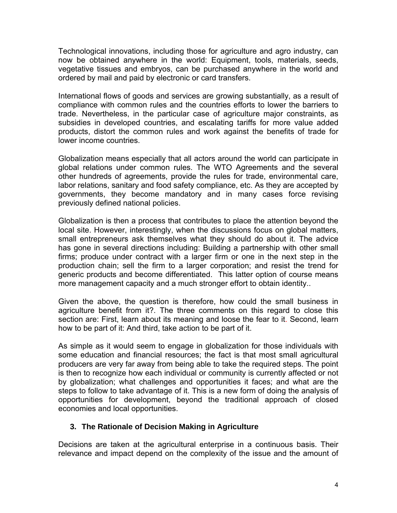Technological innovations, including those for agriculture and agro industry, can now be obtained anywhere in the world: Equipment, tools, materials, seeds, vegetative tissues and embryos, can be purchased anywhere in the world and ordered by mail and paid by electronic or card transfers.

International flows of goods and services are growing substantially, as a result of compliance with common rules and the countries efforts to lower the barriers to trade. Nevertheless, in the particular case of agriculture major constraints, as subsidies in developed countries, and escalating tariffs for more value added products, distort the common rules and work against the benefits of trade for lower income countries.

Globalization means especially that all actors around the world can participate in global relations under common rules. The WTO Agreements and the several other hundreds of agreements, provide the rules for trade, environmental care, labor relations, sanitary and food safety compliance, etc. As they are accepted by governments, they become mandatory and in many cases force revising previously defined national policies.

Globalization is then a process that contributes to place the attention beyond the local site. However, interestingly, when the discussions focus on global matters, small entrepreneurs ask themselves what they should do about it. The advice has gone in several directions including: Building a partnership with other small firms; produce under contract with a larger firm or one in the next step in the production chain; sell the firm to a larger corporation; and resist the trend for generic products and become differentiated. This latter option of course means more management capacity and a much stronger effort to obtain identity..

Given the above, the question is therefore, how could the small business in agriculture benefit from it?. The three comments on this regard to close this section are: First, learn about its meaning and loose the fear to it. Second, learn how to be part of it: And third, take action to be part of it.

As simple as it would seem to engage in globalization for those individuals with some education and financial resources; the fact is that most small agricultural producers are very far away from being able to take the required steps. The point is then to recognize how each individual or community is currently affected or not by globalization; what challenges and opportunities it faces; and what are the steps to follow to take advantage of it. This is a new form of doing the analysis of opportunities for development, beyond the traditional approach of closed economies and local opportunities.

## **3. The Rationale of Decision Making in Agriculture**

Decisions are taken at the agricultural enterprise in a continuous basis. Their relevance and impact depend on the complexity of the issue and the amount of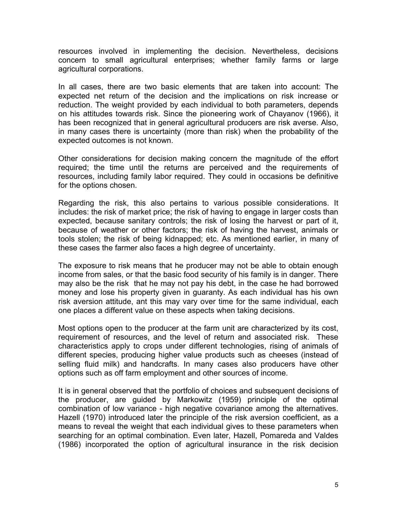resources involved in implementing the decision. Nevertheless, decisions concern to small agricultural enterprises; whether family farms or large agricultural corporations.

In all cases, there are two basic elements that are taken into account: The expected net return of the decision and the implications on risk increase or reduction. The weight provided by each individual to both parameters, depends on his attitudes towards risk. Since the pioneering work of Chayanov (1966), it has been recognized that in general agricultural producers are risk averse. Also, in many cases there is uncertainty (more than risk) when the probability of the expected outcomes is not known.

Other considerations for decision making concern the magnitude of the effort required; the time until the returns are perceived and the requirements of resources, including family labor required. They could in occasions be definitive for the options chosen.

Regarding the risk, this also pertains to various possible considerations. It includes: the risk of market price; the risk of having to engage in larger costs than expected, because sanitary controls; the risk of losing the harvest or part of it, because of weather or other factors; the risk of having the harvest, animals or tools stolen; the risk of being kidnapped; etc. As mentioned earlier, in many of these cases the farmer also faces a high degree of uncertainty.

The exposure to risk means that he producer may not be able to obtain enough income from sales, or that the basic food security of his family is in danger. There may also be the risk that he may not pay his debt, in the case he had borrowed money and lose his property given in guaranty. As each individual has his own risk aversion attitude, ant this may vary over time for the same individual, each one places a different value on these aspects when taking decisions.

Most options open to the producer at the farm unit are characterized by its cost, requirement of resources, and the level of return and associated risk. These characteristics apply to crops under different technologies, rising of animals of different species, producing higher value products such as cheeses (instead of selling fluid milk) and handcrafts. In many cases also producers have other options such as off farm employment and other sources of income.

It is in general observed that the portfolio of choices and subsequent decisions of the producer, are guided by Markowitz (1959) principle of the optimal combination of low variance - high negative covariance among the alternatives. Hazell (1970) introduced later the principle of the risk aversion coefficient, as a means to reveal the weight that each individual gives to these parameters when searching for an optimal combination. Even later, Hazell, Pomareda and Valdes (1986) incorporated the option of agricultural insurance in the risk decision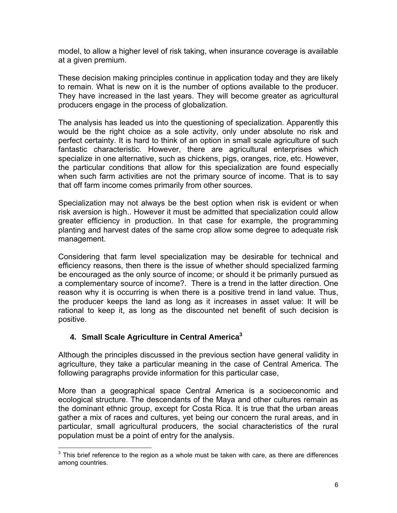model, to allow a higher level of risk taking, when insurance coverage is available at a given premium.

These decision making principles continue in application today and they are likely to remain. What is new on it is the number of options available to the producer. They have increased in the last years. They will become greater as agricultural producers engage in the process of globalization.

The analysis has leaded us into the questioning of specialization. Apparently this would be the right choice as a sole activity, only under absolute no risk and perfect certainty. It is hard to think of an option in small scale agriculture of such fantastic characteristic. However, there are agricultural enterprises which specialize in one alternative, such as chickens, pigs, oranges, rice, etc. However, the particular conditions that allow for this specialization are found especially when such farm activities are not the primary source of income. That is to say that off farm income comes primarily from other sources.

Specialization may not always be the best option when risk is evident or when risk aversion is high.. However it must be admitted that specialization could allow greater efficiency in production. In that case for example, the programming planting and harvest dates of the same crop allow some degree to adequate risk management.

Considering that farm level specialization may be desirable for technical and efficiency reasons, then there is the issue of whether should specialized farming be encouraged as the only source of income; or should it be primarily pursued as a complementary source of income?. There is a trend in the latter direction. One reason why it is occurring is when there is a positive trend in land value. Thus, the producer keeps the land as long as it increases in asset value: It will be rational to keep it, as long as the discounted net benefit of such decision is positive.

## **4. Small Scale Agriculture in Central America[3](#page-5-0)**

Although the principles discussed in the previous section have general validity in agriculture, they take a particular meaning in the case of Central America. The following paragraphs provide information for this particular case,

More than a geographical space Central America is a socioeconomic and ecological structure. The descendants of the Maya and other cultures remain as the dominant ethnic group, except for Costa Rica. It is true that the urban areas gather a mix of races and cultures, yet being our concern the rural areas, and in particular, small agricultural producers, the social characteristics of the rural population must be a point of entry for the analysis.

<span id="page-5-0"></span>**EXECUTE:**<br><sup>3</sup> This brief reference to the region as a whole must be taken with care, as there are differences among countries.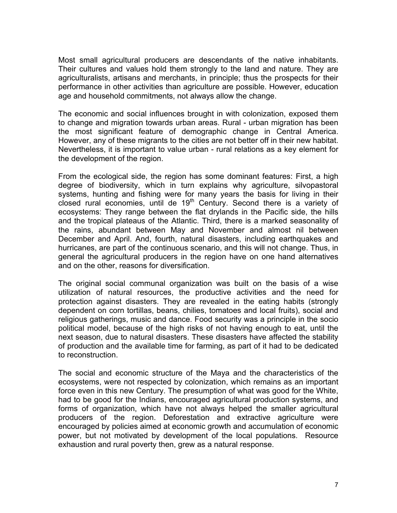Most small agricultural producers are descendants of the native inhabitants. Their cultures and values hold them strongly to the land and nature. They are agriculturalists, artisans and merchants, in principle; thus the prospects for their performance in other activities than agriculture are possible. However, education age and household commitments, not always allow the change.

The economic and social influences brought in with colonization, exposed them to change and migration towards urban areas. Rural - urban migration has been the most significant feature of demographic change in Central America. However, any of these migrants to the cities are not better off in their new habitat. Nevertheless, it is important to value urban - rural relations as a key element for the development of the region.

From the ecological side, the region has some dominant features: First, a high degree of biodiversity, which in turn explains why agriculture, silvopastoral systems, hunting and fishing were for many years the basis for living in their closed rural economies, until de  $19<sup>th</sup>$  Century. Second there is a variety of ecosystems: They range between the flat drylands in the Pacific side, the hills and the tropical plateaus of the Atlantic. Third, there is a marked seasonality of the rains, abundant between May and November and almost nil between December and April. And, fourth, natural disasters, including earthquakes and hurricanes, are part of the continuous scenario, and this will not change. Thus, in general the agricultural producers in the region have on one hand alternatives and on the other, reasons for diversification.

The original social communal organization was built on the basis of a wise utilization of natural resources, the productive activities and the need for protection against disasters. They are revealed in the eating habits (strongly dependent on corn tortillas, beans, chilies, tomatoes and local fruits), social and religious gatherings, music and dance. Food security was a principle in the socio political model, because of the high risks of not having enough to eat, until the next season, due to natural disasters. These disasters have affected the stability of production and the available time for farming, as part of it had to be dedicated to reconstruction.

The social and economic structure of the Maya and the characteristics of the ecosystems, were not respected by colonization, which remains as an important force even in this new Century. The presumption of what was good for the White, had to be good for the Indians, encouraged agricultural production systems, and forms of organization, which have not always helped the smaller agricultural producers of the region. Deforestation and extractive agriculture were encouraged by policies aimed at economic growth and accumulation of economic power, but not motivated by development of the local populations. Resource exhaustion and rural poverty then, grew as a natural response.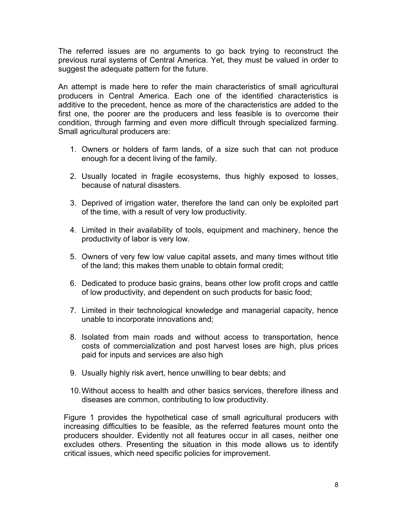The referred issues are no arguments to go back trying to reconstruct the previous rural systems of Central America. Yet, they must be valued in order to suggest the adequate pattern for the future.

An attempt is made here to refer the main characteristics of small agricultural producers in Central America. Each one of the identified characteristics is additive to the precedent, hence as more of the characteristics are added to the first one, the poorer are the producers and less feasible is to overcome their condition, through farming and even more difficult through specialized farming. Small agricultural producers are:

- 1. Owners or holders of farm lands, of a size such that can not produce enough for a decent living of the family.
- 2. Usually located in fragile ecosystems, thus highly exposed to losses, because of natural disasters.
- 3. Deprived of irrigation water, therefore the land can only be exploited part of the time, with a result of very low productivity.
- 4. Limited in their availability of tools, equipment and machinery, hence the productivity of labor is very low.
- 5. Owners of very few low value capital assets, and many times without title of the land; this makes them unable to obtain formal credit;
- 6. Dedicated to produce basic grains, beans other low profit crops and cattle of low productivity, and dependent on such products for basic food;
- 7. Limited in their technological knowledge and managerial capacity, hence unable to incorporate innovations and;
- 8. Isolated from main roads and without access to transportation, hence costs of commercialization and post harvest loses are high, plus prices paid for inputs and services are also high
- 9. Usually highly risk avert, hence unwilling to bear debts; and
- 10. Without access to health and other basics services, therefore illness and diseases are common, contributing to low productivity.

Figure 1 provides the hypothetical case of small agricultural producers with increasing difficulties to be feasible, as the referred features mount onto the producers shoulder. Evidently not all features occur in all cases, neither one excludes others. Presenting the situation in this mode allows us to identify critical issues, which need specific policies for improvement.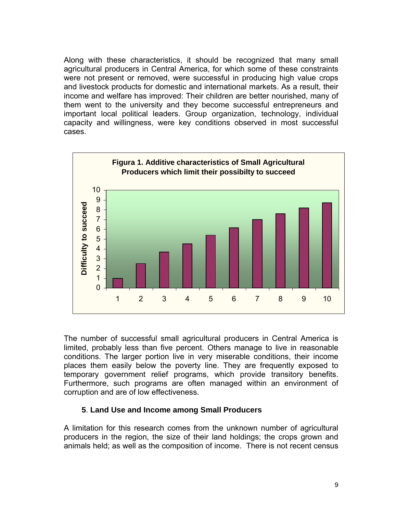Along with these characteristics, it should be recognized that many small agricultural producers in Central America, for which some of these constraints were not present or removed, were successful in producing high value crops and livestock products for domestic and international markets. As a result, their income and welfare has improved: Their children are better nourished, many of them went to the university and they become successful entrepreneurs and important local political leaders. Group organization, technology, individual capacity and willingness, were key conditions observed in most successful cases.



The number of successful small agricultural producers in Central America is limited, probably less than five percent. Others manage to live in reasonable conditions. The larger portion live in very miserable conditions, their income places them easily below the poverty line. They are frequently exposed to temporary government relief programs, which provide transitory benefits. Furthermore, such programs are often managed within an environment of corruption and are of low effectiveness.

#### **5**. **Land Use and Income among Small Producers**

A limitation for this research comes from the unknown number of agricultural producers in the region, the size of their land holdings; the crops grown and animals held; as well as the composition of income. There is not recent census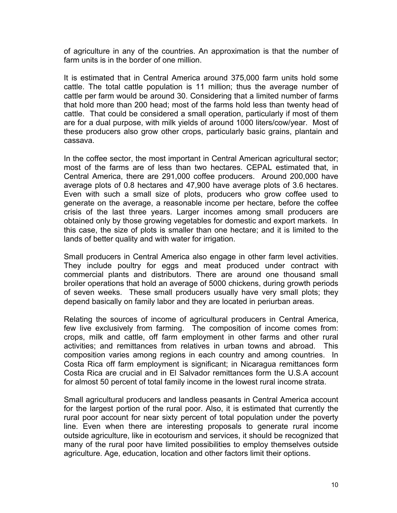of agriculture in any of the countries. An approximation is that the number of farm units is in the border of one million.

It is estimated that in Central America around 375,000 farm units hold some cattle. The total cattle population is 11 million; thus the average number of cattle per farm would be around 30. Considering that a limited number of farms that hold more than 200 head; most of the farms hold less than twenty head of cattle. That could be considered a small operation, particularly if most of them are for a dual purpose, with milk yields of around 1000 liters/cow/year. Most of these producers also grow other crops, particularly basic grains, plantain and cassava.

In the coffee sector, the most important in Central American agricultural sector; most of the farms are of less than two hectares. CEPAL estimated that, in Central America, there are 291,000 coffee producers. Around 200,000 have average plots of 0.8 hectares and 47,900 have average plots of 3.6 hectares. Even with such a small size of plots, producers who grow coffee used to generate on the average, a reasonable income per hectare, before the coffee crisis of the last three years. Larger incomes among small producers are obtained only by those growing vegetables for domestic and export markets. In this case, the size of plots is smaller than one hectare; and it is limited to the lands of better quality and with water for irrigation.

Small producers in Central America also engage in other farm level activities. They include poultry for eggs and meat produced under contract with commercial plants and distributors. There are around one thousand small broiler operations that hold an average of 5000 chickens, during growth periods of seven weeks. These small producers usually have very small plots; they depend basically on family labor and they are located in periurban areas.

Relating the sources of income of agricultural producers in Central America, few live exclusively from farming. The composition of income comes from: crops, milk and cattle, off farm employment in other farms and other rural activities; and remittances from relatives in urban towns and abroad. This composition varies among regions in each country and among countries. In Costa Rica off farm employment is significant; in Nicaragua remittances form Costa Rica are crucial and in El Salvador remittances form the U.S.A account for almost 50 percent of total family income in the lowest rural income strata.

Small agricultural producers and landless peasants in Central America account for the largest portion of the rural poor. Also, it is estimated that currently the rural poor account for near sixty percent of total population under the poverty line. Even when there are interesting proposals to generate rural income outside agriculture, like in ecotourism and services, it should be recognized that many of the rural poor have limited possibilities to employ themselves outside agriculture. Age, education, location and other factors limit their options.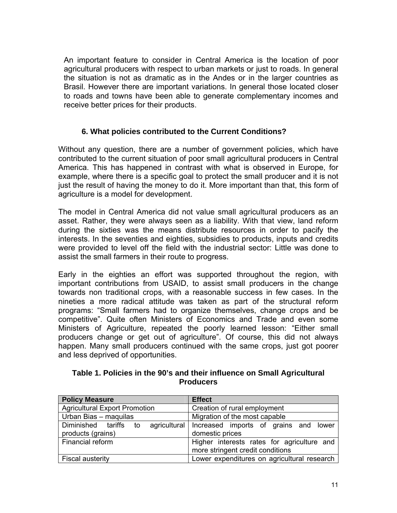An important feature to consider in Central America is the location of poor agricultural producers with respect to urban markets or just to roads. In general the situation is not as dramatic as in the Andes or in the larger countries as Brasil. However there are important variations. In general those located closer to roads and towns have been able to generate complementary incomes and receive better prices for their products.

#### **6. What policies contributed to the Current Conditions?**

Without any question, there are a number of government policies, which have contributed to the current situation of poor small agricultural producers in Central America. This has happened in contrast with what is observed in Europe, for example, where there is a specific goal to protect the small producer and it is not just the result of having the money to do it. More important than that, this form of agriculture is a model for development.

The model in Central America did not value small agricultural producers as an asset. Rather, they were always seen as a liability. With that view, land reform during the sixties was the means distribute resources in order to pacify the interests. In the seventies and eighties, subsidies to products, inputs and credits were provided to level off the field with the industrial sector: Little was done to assist the small farmers in their route to progress.

Early in the eighties an effort was supported throughout the region, with important contributions from USAID, to assist small producers in the change towards non traditional crops, with a reasonable success in few cases. In the nineties a more radical attitude was taken as part of the structural reform programs: "Small farmers had to organize themselves, change crops and be competitive". Quite often Ministers of Economics and Trade and even some Ministers of Agriculture, repeated the poorly learned lesson: "Either small producers change or get out of agriculture". Of course, this did not always happen. Many small producers continued with the same crops, just got poorer and less deprived of opportunities.

| Table 1. Policies in the 90's and their influence on Small Agricultural |
|-------------------------------------------------------------------------|
| <b>Producers</b>                                                        |

| <b>Policy Measure</b>                         | <b>Effect</b>                                                                  |  |
|-----------------------------------------------|--------------------------------------------------------------------------------|--|
| <b>Agricultural Export Promotion</b>          | Creation of rural employment                                                   |  |
| Urban Bias - maquilas                         | Migration of the most capable                                                  |  |
| Diminished tariffs<br>to<br>products (grains) | agricultural Increased imports of grains and lower<br>domestic prices          |  |
| Financial reform                              | Higher interests rates for agriculture and<br>more stringent credit conditions |  |
| Fiscal austerity                              | Lower expenditures on agricultural research                                    |  |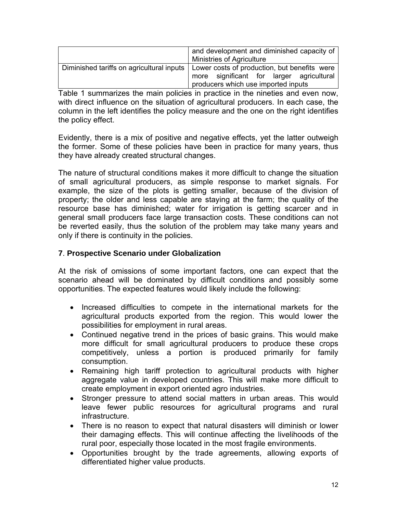| <b>Ministries of Agriculture</b> |                                                                                                                                 |
|----------------------------------|---------------------------------------------------------------------------------------------------------------------------------|
|                                  |                                                                                                                                 |
|                                  | Lower costs of production, but benefits were<br>more significant for larger agricultural<br>producers which use imported inputs |

Table 1 summarizes the main policies in practice in the nineties and even now, with direct influence on the situation of agricultural producers. In each case, the column in the left identifies the policy measure and the one on the right identifies the policy effect.

Evidently, there is a mix of positive and negative effects, yet the latter outweigh the former. Some of these policies have been in practice for many years, thus they have already created structural changes.

The nature of structural conditions makes it more difficult to change the situation of small agricultural producers, as simple response to market signals. For example, the size of the plots is getting smaller, because of the division of property; the older and less capable are staying at the farm; the quality of the resource base has diminished; water for irrigation is getting scarcer and in general small producers face large transaction costs. These conditions can not be reverted easily, thus the solution of the problem may take many years and only if there is continuity in the policies.

## **7**. **Prospective Scenario under Globalization**

At the risk of omissions of some important factors, one can expect that the scenario ahead will be dominated by difficult conditions and possibly some opportunities. The expected features would likely include the following:

- Increased difficulties to compete in the international markets for the agricultural products exported from the region. This would lower the possibilities for employment in rural areas.
- Continued negative trend in the prices of basic grains. This would make more difficult for small agricultural producers to produce these crops competitively, unless a portion is produced primarily for family consumption.
- Remaining high tariff protection to agricultural products with higher aggregate value in developed countries. This will make more difficult to create employment in export oriented agro industries.
- Stronger pressure to attend social matters in urban areas. This would leave fewer public resources for agricultural programs and rural infrastructure.
- There is no reason to expect that natural disasters will diminish or lower their damaging effects. This will continue affecting the livelihoods of the rural poor, especially those located in the most fragile environments.
- Opportunities brought by the trade agreements, allowing exports of differentiated higher value products.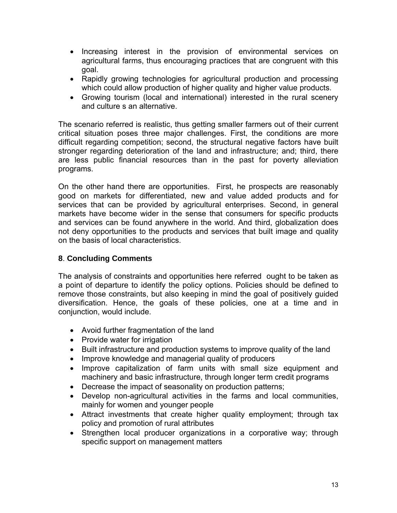- Increasing interest in the provision of environmental services on agricultural farms, thus encouraging practices that are congruent with this goal.
- Rapidly growing technologies for agricultural production and processing which could allow production of higher quality and higher value products.
- Growing tourism (local and international) interested in the rural scenery and culture s an alternative.

The scenario referred is realistic, thus getting smaller farmers out of their current critical situation poses three major challenges. First, the conditions are more difficult regarding competition; second, the structural negative factors have built stronger regarding deterioration of the land and infrastructure; and; third, there are less public financial resources than in the past for poverty alleviation programs.

On the other hand there are opportunities. First, he prospects are reasonably good on markets for differentiated, new and value added products and for services that can be provided by agricultural enterprises. Second, in general markets have become wider in the sense that consumers for specific products and services can be found anywhere in the world. And third, globalization does not deny opportunities to the products and services that built image and quality on the basis of local characteristics.

## **8**. **Concluding Comments**

The analysis of constraints and opportunities here referred ought to be taken as a point of departure to identify the policy options. Policies should be defined to remove those constraints, but also keeping in mind the goal of positively guided diversification. Hence, the goals of these policies, one at a time and in conjunction, would include.

- Avoid further fragmentation of the land
- Provide water for irrigation
- Built infrastructure and production systems to improve quality of the land
- Improve knowledge and managerial quality of producers
- Improve capitalization of farm units with small size equipment and machinery and basic infrastructure, through longer term credit programs
- Decrease the impact of seasonality on production patterns;
- Develop non-agricultural activities in the farms and local communities, mainly for women and younger people
- Attract investments that create higher quality employment; through tax policy and promotion of rural attributes
- Strengthen local producer organizations in a corporative way; through specific support on management matters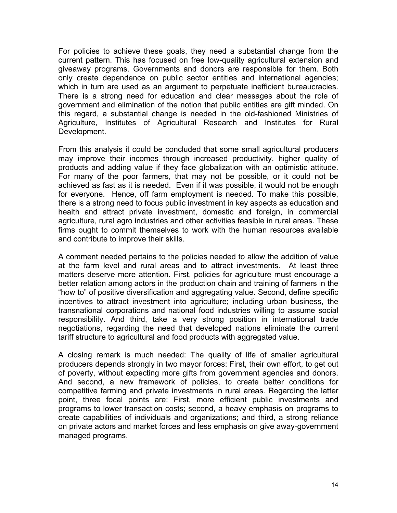For policies to achieve these goals, they need a substantial change from the current pattern. This has focused on free low-quality agricultural extension and giveaway programs. Governments and donors are responsible for them. Both only create dependence on public sector entities and international agencies; which in turn are used as an argument to perpetuate inefficient bureaucracies. There is a strong need for education and clear messages about the role of government and elimination of the notion that public entities are gift minded. On this regard, a substantial change is needed in the old-fashioned Ministries of Agriculture, Institutes of Agricultural Research and Institutes for Rural Development.

From this analysis it could be concluded that some small agricultural producers may improve their incomes through increased productivity, higher quality of products and adding value if they face globalization with an optimistic attitude. For many of the poor farmers, that may not be possible, or it could not be achieved as fast as it is needed. Even if it was possible, it would not be enough for everyone. Hence, off farm employment is needed. To make this possible, there is a strong need to focus public investment in key aspects as education and health and attract private investment, domestic and foreign, in commercial agriculture, rural agro industries and other activities feasible in rural areas. These firms ought to commit themselves to work with the human resources available and contribute to improve their skills.

A comment needed pertains to the policies needed to allow the addition of value at the farm level and rural areas and to attract investments. At least three matters deserve more attention. First, policies for agriculture must encourage a better relation among actors in the production chain and training of farmers in the "how to" of positive diversification and aggregating value. Second, define specific incentives to attract investment into agriculture; including urban business, the transnational corporations and national food industries willing to assume social responsibility. And third, take a very strong position in international trade negotiations, regarding the need that developed nations eliminate the current tariff structure to agricultural and food products with aggregated value.

A closing remark is much needed: The quality of life of smaller agricultural producers depends strongly in two mayor forces: First, their own effort, to get out of poverty, without expecting more gifts from government agencies and donors. And second, a new framework of policies, to create better conditions for competitive farming and private investments in rural areas. Regarding the latter point, three focal points are: First, more efficient public investments and programs to lower transaction costs; second, a heavy emphasis on programs to create capabilities of individuals and organizations; and third, a strong reliance on private actors and market forces and less emphasis on give away-government managed programs.